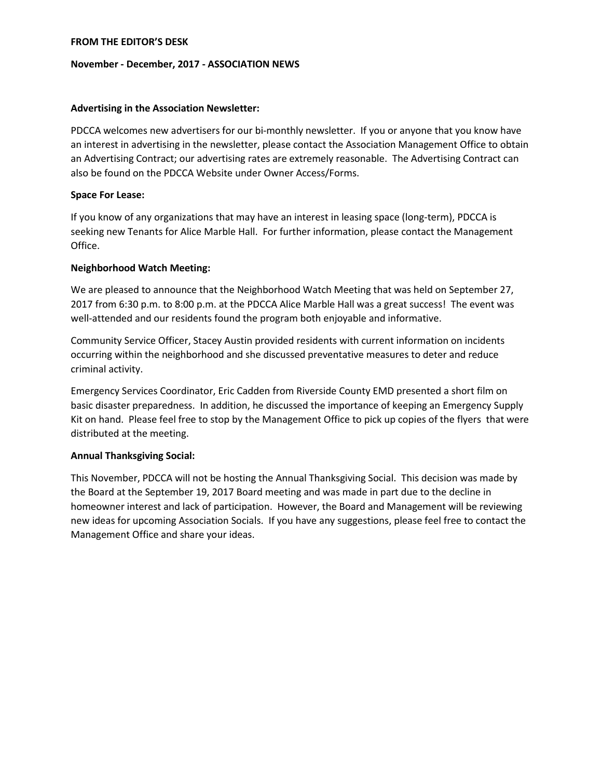### **FROM THE EDITOR'S DESK**

#### **November - December, 2017 - ASSOCIATION NEWS**

### **Advertising in the Association Newsletter:**

PDCCA welcomes new advertisers for our bi-monthly newsletter. If you or anyone that you know have an interest in advertising in the newsletter, please contact the Association Management Office to obtain an Advertising Contract; our advertising rates are extremely reasonable. The Advertising Contract can also be found on the PDCCA Website under Owner Access/Forms.

### **Space For Lease:**

If you know of any organizations that may have an interest in leasing space (long-term), PDCCA is seeking new Tenants for Alice Marble Hall. For further information, please contact the Management Office.

### **Neighborhood Watch Meeting:**

We are pleased to announce that the Neighborhood Watch Meeting that was held on September 27, 2017 from 6:30 p.m. to 8:00 p.m. at the PDCCA Alice Marble Hall was a great success! The event was well-attended and our residents found the program both enjoyable and informative.

Community Service Officer, Stacey Austin provided residents with current information on incidents occurring within the neighborhood and she discussed preventative measures to deter and reduce criminal activity.

Emergency Services Coordinator, Eric Cadden from Riverside County EMD presented a short film on basic disaster preparedness. In addition, he discussed the importance of keeping an Emergency Supply Kit on hand. Please feel free to stop by the Management Office to pick up copies of the flyers that were distributed at the meeting.

## **Annual Thanksgiving Social:**

This November, PDCCA will not be hosting the Annual Thanksgiving Social. This decision was made by the Board at the September 19, 2017 Board meeting and was made in part due to the decline in homeowner interest and lack of participation. However, the Board and Management will be reviewing new ideas for upcoming Association Socials. If you have any suggestions, please feel free to contact the Management Office and share your ideas.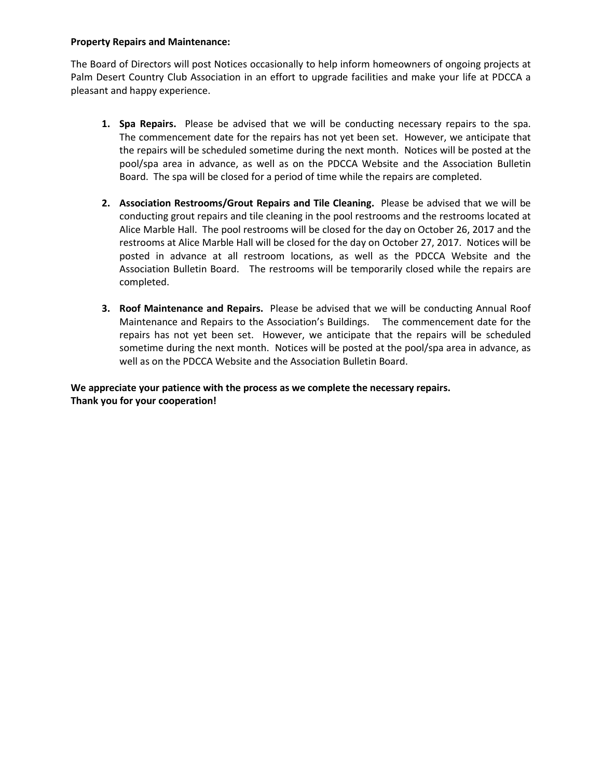### **Property Repairs and Maintenance:**

The Board of Directors will post Notices occasionally to help inform homeowners of ongoing projects at Palm Desert Country Club Association in an effort to upgrade facilities and make your life at PDCCA a pleasant and happy experience.

- **1. Spa Repairs.** Please be advised that we will be conducting necessary repairs to the spa. The commencement date for the repairs has not yet been set. However, we anticipate that the repairs will be scheduled sometime during the next month. Notices will be posted at the pool/spa area in advance, as well as on the PDCCA Website and the Association Bulletin Board. The spa will be closed for a period of time while the repairs are completed.
- **2. Association Restrooms/Grout Repairs and Tile Cleaning.** Please be advised that we will be conducting grout repairs and tile cleaning in the pool restrooms and the restrooms located at Alice Marble Hall. The pool restrooms will be closed for the day on October 26, 2017 and the restrooms at Alice Marble Hall will be closed for the day on October 27, 2017. Notices will be posted in advance at all restroom locations, as well as the PDCCA Website and the Association Bulletin Board. The restrooms will be temporarily closed while the repairs are completed.
- **3. Roof Maintenance and Repairs.** Please be advised that we will be conducting Annual Roof Maintenance and Repairs to the Association's Buildings. The commencement date for the repairs has not yet been set. However, we anticipate that the repairs will be scheduled sometime during the next month. Notices will be posted at the pool/spa area in advance, as well as on the PDCCA Website and the Association Bulletin Board.

## **We appreciate your patience with the process as we complete the necessary repairs. Thank you for your cooperation!**